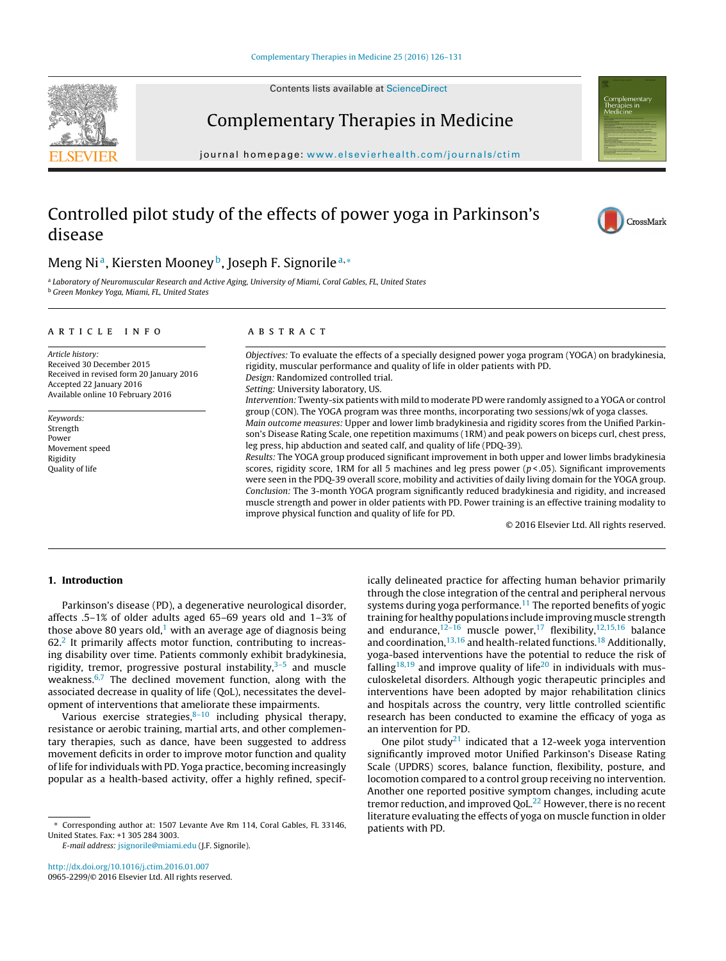Contents lists available at [ScienceDirect](http://www.sciencedirect.com/science/journal/09652299)

# Complementary Therapies in Medicine

iournal homepage: [www.elsevierhealth.com/journals/ctim](http://www.elsevierhealth.com/journals/ctim)

improve physical function and quality of life for PD.

## Controlled pilot study of the effects of power yoga in Parkinson's disease



a Laboratory of Neuromuscular Research and Active Aging, University of Miami, Coral Gables, FL, United States **b** Green Monkey Yoga, Miami, FL, United States

## a r t i c l e i n f o

Article history: Received 30 December 2015 Received in revised form 20 January 2016 Accepted 22 January 2016 Available online 10 February 2016

Keywords: Strength Power Movement speed Rigidity Quality of life

## A B S T R A C T

Objectives: To evaluate the effects of a specially designed power yoga program (YOGA) on bradykinesia, rigidity, muscular performance and quality of life in older patients with PD. Design: Randomized controlled trial. Setting: University laboratory, US. Intervention: Twenty-six patients with mild to moderate PD were randomly assigned to a YOGA or control group (CON). The YOGA program was three months, incorporating two sessions/wk of yoga classes. Main outcome measures: Upper and lower limb bradykinesia and rigidity scores from the Unified Parkinson's Disease Rating Scale, one repetition maximums (1RM) and peak powers on biceps curl, chest press, leg press, hip abduction and seated calf, and quality of life (PDQ-39). Results: The YOGA group produced significant improvement in both upper and lower limbs bradykinesia scores, rigidity score, 1RM for all 5 machines and leg press power ( $p < .05$ ). Significant improvements were seen in the PDQ-39 overall score, mobility and activities of daily living domain for the YOGA group. Conclusion: The 3-month YOGA program significantly reduced bradykinesia and rigidity, and increased muscle strength and power in older patients with PD. Power training is an effective training modality to

© 2016 Elsevier Ltd. All rights reserved.

## **1. Introduction**

Parkinson's disease (PD), a degenerative neurological disorder, affects .5–1% of older adults aged 65–69 years old and 1–3% of those above 80 years old, $1$  with an average age of diagnosis being  $62<sup>2</sup>$  It primarily affects motor function, contributing to increasing disability over time. Patients commonly exhibit bradykinesia, rigidity, tremor, progressive postural instability, $3-5$  and muscle weakness. $6,7$  The declined movement function, along with the associated decrease in quality of life (QoL), necessitates the development of interventions that ameliorate these impairments.

Various exercise strategies, $8-10$  including physical therapy, resistance or aerobic training, martial arts, and other complementary therapies, such as dance, have been suggested to address movement deficits in order to improve motor function and quality of life for individuals with PD. Yoga practice, becoming increasingly popular as a health-based activity, offer a highly refined, specif-

∗ Corresponding author at: 1507 Levante Ave Rm 114, Coral Gables, FL 33146, United States. Fax: +1 305 284 3003.

E-mail address: [jsignorile@miami.edu](mailto:jsignorile@miami.edu) (J.F. Signorile).

[http://dx.doi.org/10.1016/j.ctim.2016.01.007](dx.doi.org/10.1016/j.ctim.2016.01.007) 0965-2299/© 2016 Elsevier Ltd. All rights reserved.

ically delineated practice for affecting human behavior primarily through the close integration of the central and peripheral nervous systems during yoga performance.<sup>11</sup> The reported benefits of yogic training for healthy populations include improving muscle strength and endurance, $12-16$  muscle power, <sup>[17](#page-5-0)</sup> flexibility,  $12,15,16$  balance and coordination, $13,16$  and health-related functions.<sup>[18](#page-5-0)</sup> Additionally, yoga-based interventions have the potential to reduce the risk of falling<sup>18,19</sup> and improve quality of life<sup>20</sup> in individuals with musculoskeletal disorders. Although yogic therapeutic principles and interventions have been adopted by major rehabilitation clinics and hospitals across the country, very little controlled scientific research has been conducted to examine the efficacy of yoga as an intervention for PD.

One pilot study<sup>21</sup> indicated that a 12-week yoga intervention significantly improved motor Unified Parkinson's Disease Rating Scale (UPDRS) scores, balance function, flexibility, posture, and locomotion compared to a control group receiving no intervention. Another one reported positive symptom changes, including acute tremor reduction, and improved QoL. $^{22}$  $^{22}$  $^{22}$  However, there is no recent literature evaluating the effects of yoga on muscle function in older patients with PD.





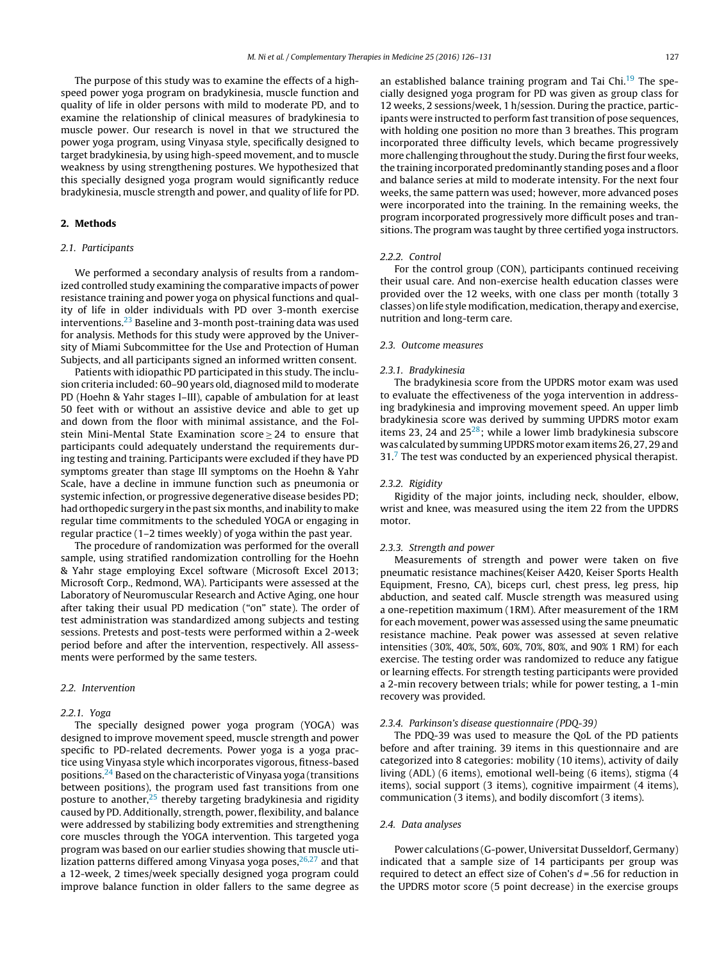The purpose of this study was to examine the effects of a highspeed power yoga program on bradykinesia, muscle function and quality of life in older persons with mild to moderate PD, and to examine the relationship of clinical measures of bradykinesia to muscle power. Our research is novel in that we structured the power yoga program, using Vinyasa style, specifically designed to target bradykinesia, by using high-speed movement, and to muscle weakness by using strengthening postures. We hypothesized that this specially designed yoga program would significantly reduce bradykinesia, muscle strength and power, and quality of life for PD.

## **2. Methods**

## 2.1. Participants

We performed a secondary analysis of results from a randomized controlled study examining the comparative impacts of power resistance training and power yoga on physical functions and quality of life in older individuals with PD over 3-month exercise interventions.[23](#page-5-0) Baseline and 3-month post-training data was used for analysis. Methods for this study were approved by the University of Miami Subcommittee for the Use and Protection of Human Subjects, and all participants signed an informed written consent.

Patients with idiopathic PD participated in this study. The inclusion criteria included: 60–90 years old, diagnosed mild to moderate PD (Hoehn & Yahr stages I–III), capable of ambulation for at least 50 feet with or without an assistive device and able to get up and down from the floor with minimal assistance, and the Folstein Mini-Mental State Examination score > 24 to ensure that participants could adequately understand the requirements during testing and training. Participants were excluded if they have PD symptoms greater than stage III symptoms on the Hoehn & Yahr Scale, have a decline in immune function such as pneumonia or systemic infection, or progressive degenerative disease besides PD; had orthopedic surgery in the past six months, and inability to make regular time commitments to the scheduled YOGA or engaging in regular practice (1–2 times weekly) of yoga within the past year.

The procedure of randomization was performed for the overall sample, using stratified randomization controlling for the Hoehn & Yahr stage employing Excel software (Microsoft Excel 2013; Microsoft Corp., Redmond, WA). Participants were assessed at the Laboratory of Neuromuscular Research and Active Aging, one hour after taking their usual PD medication ("on" state). The order of test administration was standardized among subjects and testing sessions. Pretests and post-tests were performed within a 2-week period before and after the intervention, respectively. All assessments were performed by the same testers.

#### 2.2. Intervention

#### 2.2.1. Yoga

The specially designed power yoga program (YOGA) was designed to improve movement speed, muscle strength and power specific to PD-related decrements. Power yoga is a yoga practice using Vinyasa style which incorporates vigorous, fitness-based positions.[24](#page-5-0) Based on the characteristic of Vinyasa yoga (transitions between positions), the program used fast transitions from one posture to another, $25$  thereby targeting bradykinesia and rigidity caused by PD. Additionally, strength, power, flexibility, and balance were addressed by stabilizing body extremities and strengthening core muscles through the YOGA intervention. This targeted yoga program was based on our earlier studies showing that muscle utilization patterns differed among Vinyasa yoga poses, $26,27$  and that a 12-week, 2 times/week specially designed yoga program could improve balance function in older fallers to the same degree as an established balance training program and Tai Chi.<sup>19</sup> The specially designed yoga program for PD was given as group class for 12 weeks, 2 sessions/week, 1 h/session. During the practice, participants were instructed to perform fast transition of pose sequences, with holding one position no more than 3 breathes. This program incorporated three difficulty levels, which became progressively more challenging throughout the study. During the first four weeks, the training incorporated predominantly standing poses and a floor and balance series at mild to moderate intensity. For the next four weeks, the same pattern was used; however, more advanced poses were incorporated into the training. In the remaining weeks, the program incorporated progressively more difficult poses and transitions. The program was taught by three certified yoga instructors.

#### 2.2.2. Control

For the control group (CON), participants continued receiving their usual care. And non-exercise health education classes were provided over the 12 weeks, with one class per month (totally 3 classes) on life style modification, medication, therapy and exercise, nutrition and long-term care.

## 2.3. Outcome measures

## 2.3.1. Bradykinesia

The bradykinesia score from the UPDRS motor exam was used to evaluate the effectiveness of the yoga intervention in addressing bradykinesia and improving movement speed. An upper limb bradykinesia score was derived by summing UPDRS motor exam items 23, 24 and  $25^{28}$ ; while a lower limb bradykinesia subscore was calculated by summing UPDRS motor examitems 26, 27, 29 and  $31<sup>7</sup>$  $31<sup>7</sup>$  $31<sup>7</sup>$  The test was conducted by an experienced physical therapist.

#### 2.3.2. Rigidity

Rigidity of the major joints, including neck, shoulder, elbow, wrist and knee, was measured using the item 22 from the UPDRS motor.

## 2.3.3. Strength and power

Measurements of strength and power were taken on five pneumatic resistance machines(Keiser A420, Keiser Sports Health Equipment, Fresno, CA), biceps curl, chest press, leg press, hip abduction, and seated calf. Muscle strength was measured using a one-repetition maximum (1RM). After measurement of the 1RM for each movement, power was assessed using the same pneumatic resistance machine. Peak power was assessed at seven relative intensities (30%, 40%, 50%, 60%, 70%, 80%, and 90% 1 RM) for each exercise. The testing order was randomized to reduce any fatigue or learning effects. For strength testing participants were provided a 2-min recovery between trials; while for power testing, a 1-min recovery was provided.

#### 2.3.4. Parkinson's disease questionnaire (PDQ-39)

The PDQ-39 was used to measure the QoL of the PD patients before and after training. 39 items in this questionnaire and are categorized into 8 categories: mobility (10 items), activity of daily living (ADL) (6 items), emotional well-being (6 items), stigma (4 items), social support (3 items), cognitive impairment (4 items), communication (3 items), and bodily discomfort (3 items).

## 2.4. Data analyses

Power calculations (G-power, Universitat Dusseldorf, Germany) indicated that a sample size of 14 participants per group was required to detect an effect size of Cohen's  $d = .56$  for reduction in the UPDRS motor score (5 point decrease) in the exercise groups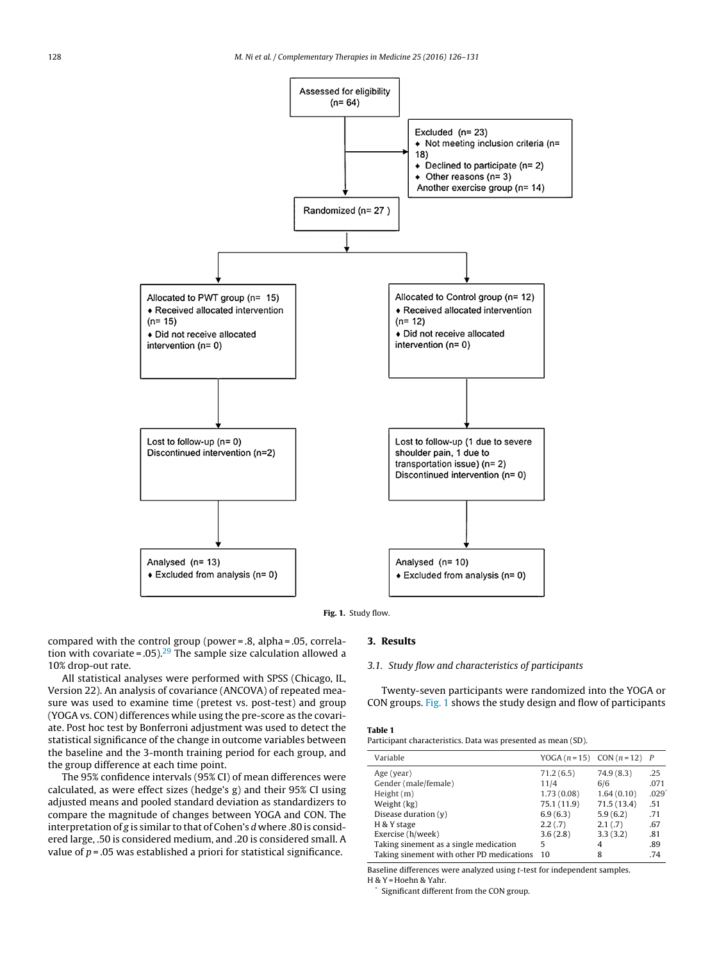<span id="page-2-0"></span>

**Fig. 1.** Study flow.

compared with the control group (power = .8, alpha = .05, correlation with covariate =  $.05$ ).<sup>[29](#page-5-0)</sup> The sample size calculation allowed a 10% drop-out rate.

All statistical analyses were performed with SPSS (Chicago, IL, Version 22). An analysis of covariance (ANCOVA) of repeated measure was used to examine time (pretest vs. post-test) and group (YOGA vs. CON) differences while using the pre-score as the covariate. Post hoc test by Bonferroni adjustment was used to detect the statistical significance of the change in outcome variables between the baseline and the 3-month training period for each group, and the group difference at each time point.

The 95% confidence intervals (95% CI) of mean differences were calculated, as were effect sizes (hedge's g) and their 95% CI using adjusted means and pooled standard deviation as standardizers to compare the magnitude of changes between YOGA and CON. The interpretation of g is similar to that of Cohen's d where .80 is considered large, .50 is considered medium, and .20 is considered small. A value of  $p = 0.05$  was established a priori for statistical significance.

## **3. Results**

## 3.1. Study flow and characteristics of participants

Twenty-seven participants were randomized into the YOGA or CON groups. Fig. 1 shows the study design and flow of participants

#### **Table 1**

Participant characteristics. Data was presented as mean (SD).

| Variable                                  | YOGA $(n = 15)$ CON $(n = 12)$ P |            |      |
|-------------------------------------------|----------------------------------|------------|------|
| Age (year)                                | 71.2(6.5)                        | 74.9(8.3)  | .25  |
| Gender (male/female)                      | 11/4                             | 6/6        | .071 |
| Height(m)                                 | 1.73(0.08)                       | 1.64(0.10) | .029 |
| Weight (kg)                               | 75.1 (11.9)                      | 71.5(13.4) | .51  |
| Disease duration $(y)$                    | 6.9(6.3)                         | 5.9(6.2)   | .71  |
| H & Y stage                               | 2.2(.7)                          | 2.1(.7)    | .67  |
| Exercise (h/week)                         | 3.6(2.8)                         | 3.3(3.2)   | .81  |
| Taking sinement as a single medication    | 5                                | 4          | .89  |
| Taking sinement with other PD medications | 10                               | 8          | .74  |

Baseline differences were analyzed using t-test for independent samples.

H & Y = Hoehn & Yahr.

Significant different from the CON group.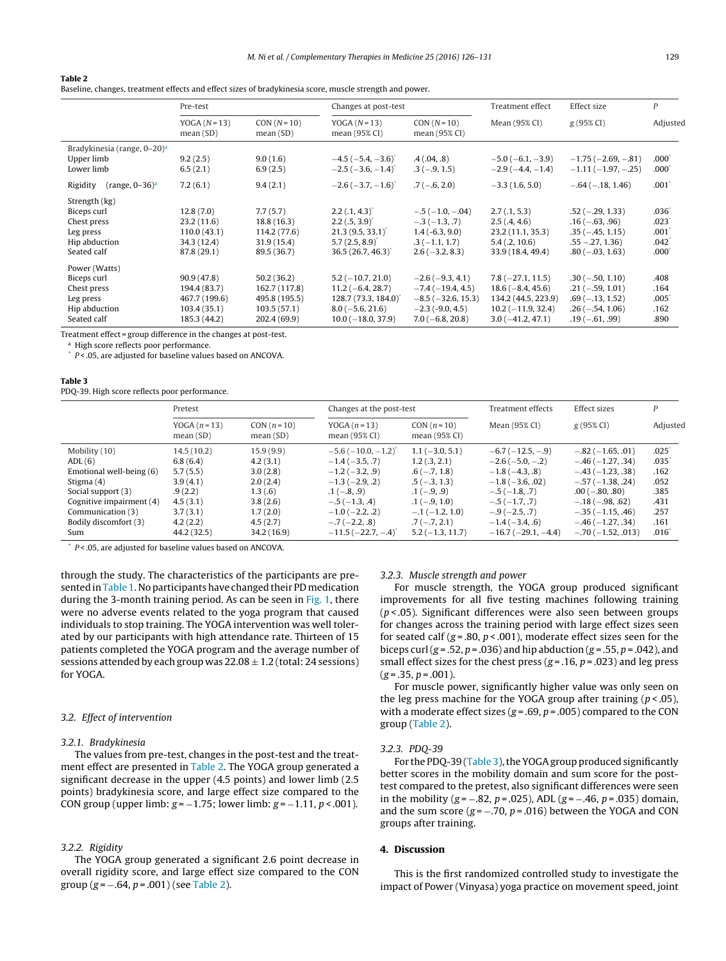#### <span id="page-3-0"></span>**Table 2**

Baseline, changes, treatment effects and effect sizes of bradykinesia score, muscle strength and power.

|                                             | Pre-test                  |                         | Changes at post-test                 |                              | Treatment effect        | Effect size         | P                   |
|---------------------------------------------|---------------------------|-------------------------|--------------------------------------|------------------------------|-------------------------|---------------------|---------------------|
|                                             | $YOGA (N=13)$<br>mean(SD) | $CON(N=10)$<br>mean(SD) | $YOGA (N=13)$<br>mean (95% CI)       | $CON(N=10)$<br>mean (95% CI) | Mean (95% CI)           | $g(95\% CI)$        | Adjusted            |
| Bradykinesia (range, 0-20) <sup>a</sup>     |                           |                         |                                      |                              |                         |                     |                     |
| Upper limb                                  | 9.2(2.5)                  | 9.0(1.6)                | $-4.5(-5.4, -3.6)$                   | .4(0.04, .8)                 | $-5.0$ ( $-6.1, -3.9$ ) | $-1.75(-2.69,-.81)$ | .000 <sup>°</sup>   |
| Lower limb                                  | 6.5(2.1)                  | 6.9(2.5)                | $-2.5$ ( $-3.6, -1.4$ ) <sup>*</sup> | $.3(-.9, 1.5)$               | $-2.9(-4.4,-1.4)$       | $-1.11(-1.97,-.25)$ | $.000*$             |
| Rigidity<br>(range, $0 - 36$ ) <sup>a</sup> | 7.2(6.1)                  | 9.4(2.1)                | $-2.6(-3.7, -1.6)$                   | $.7(-.6, 2.0)$               | $-3.3(1.6, 5.0)$        | $-.64 (-.18, 1.46)$ | .001                |
| Strength (kg)                               |                           |                         |                                      |                              |                         |                     |                     |
| Biceps curl                                 | 12.8(7.0)                 | 7.7(5.7)                | 2.2(.1, 4.3)                         | $-.5(-1.0, -.04)$            | 2.7(0.1, 5.3)           | $.52(-.29, 1.33)$   | $.036$ <sup>*</sup> |
| Chest press                                 | 23.2(11.6)                | 18.8(16.3)              | $2.2(.5, 3.9)^{*}$                   | $-.3(-1.3, .7)$              | 2.5(0.4, 4.6)           | $.16(-63, .96)$     | $.023$ <sup>*</sup> |
| Leg press                                   | 110.0(43.1)               | 114.2 (77.6)            | 21.3(9.5, 33.1)                      | $1.4(-6.3, 9.0)$             | 23.2 (11.1, 35.3)       | $.35(-.45, 1.15)$   | $.001$ <sup>*</sup> |
| Hip abduction                               | 34.3 (12.4)               | 31.9(15.4)              | $5.7(2.5, 8.9)^{\circ}$              | $.3(-1.1, 1.7)$              | $5.4$ (.2, 10.6)        | $.55 - .27, 1.36$   | $.042$ <sup>*</sup> |
| Seated calf                                 | 87.8 (29.1)               | 89.5 (36.7)             | 36.5(26.7, 46.3)                     | $2.6(-3.2, 8.3)$             | 33.9 (18.4, 49.4)       | $.80(-.03, 1.63)$   | $.000*$             |
| Power (Watts)                               |                           |                         |                                      |                              |                         |                     |                     |
| Biceps curl                                 | 90.9(47.8)                | 50.2(36.2)              | $5.2(-10.7, 21.0)$                   | $-2.6(-9.3, 4.1)$            | $7.8(-27.1, 11.5)$      | $.30(-.50, 1.10)$   | .408                |
| Chest press                                 | 194.4 (83.7)              | 162.7 (117.8)           | $11.2(-6.4, 28.7)$                   | $-7.4(-19.4, 4.5)$           | $18.6(-8.4, 45.6)$      | $.21(-.59, 1.01)$   | .164                |
| Leg press                                   | 467.7 (199.6)             | 495.8 (195.5)           | 128.7 (73.3, 184.0)*                 | $-8.5$ ( $-32.6$ , 15.3)     | 134.2 (44.5, 223.9)     | $.69(-.13, 1.52)$   | $.005$ <sup>*</sup> |
| Hip abduction                               | 103.4(35.1)               | 103.5(57.1)             | $8.0(-5.6, 21.6)$                    | $-2.3$ ( $-9.0, 4.5$ )       | $10.2(-11.9, 32.4)$     | $.26(-.54, 1.06)$   | .162                |
| Seated calf                                 | 185.3 (44.2)              | 202.4 (69.9)            | $10.0(-18.0, 37.9)$                  | $7.0(-6.8, 20.8)$            | $3.0(-41.2, 47.1)$      | $.19(-.61, .99)$    | .890                |

Treatment effect = group difference in the changes at post-test.

<sup>a</sup> High score reflects poor performance.

 $P < 0.05$ , are adjusted for baseline values based on ANCOVA.

#### **Table 3**

PDQ-39. High score reflects poor performance.

|                          | Pretest                   |                         | Changes at the post-test                  |                                         | Treatment effects    | Effect sizes         | D        |
|--------------------------|---------------------------|-------------------------|-------------------------------------------|-----------------------------------------|----------------------|----------------------|----------|
|                          | YOGA $(n=13)$<br>mean(SD) | $CON(n=10)$<br>mean(SD) | YOGA $(n=13)$<br>mean $(95\% \text{ CI})$ | $CON(n=10)$<br>mean $(95\% \text{ CI})$ | Mean (95% CI)        | $g(95\% \text{ CI})$ | Adjusted |
| Mobility (10)            | 14.5(10.2)                | 15.9(9.9)               | $-5.6$ ( $-10.0, -1.2$ ) <sup>*</sup>     | $1.1(-3.0, 5.1)$                        | $-6.7(-12.5,-.9)$    | $-.82(-1.65, .01)$   | .025     |
| ADL(6)                   | 6.8(6.4)                  | 4.2(3.1)                | $-1.4(-3.5, .7)$                          | 1.2(.3, 2.1)                            | $-2.6(-5.0, -0.2)$   | $-.46(-1.27, .34)$   | .035     |
| Emotional well-being (6) | 5.7(5.5)                  | 3.0(2.8)                | $-1.2(-3.2, .9)$                          | $.6(-.7, 1.8)$                          | $-1.8(-4.3, .8)$     | $-.43(-1.23, .38)$   | .162     |
| Stigma $(4)$             | 3.9(4.1)                  | 2.0(2.4)                | $-1.3(-2.9, .2)$                          | $.5(-3, 1.3)$                           | $-1.8(-3.6, .02)$    | $-.57(-1.38, .24)$   | .052     |
| Social support (3)       | .9(2.2)                   | 1.3(6)                  | $.1(-.8, .9)$                             | $.1(-.9, .9)$                           | $-.5(-1.8, .7)$      | $.00(-.80, .80)$     | .385     |
| Cognitive impairment (4) | 4.5(3.1)                  | 3.8(2.6)                | $-.5(-1.3, .4)$                           | $.1(-.9, 1.0)$                          | $-.5(-1.7, .7)$      | $-.18(-.98, .62)$    | .431     |
| Communication (3)        | 3.7(3.1)                  | 1.7(2.0)                | $-1.0$ (-2.2, .2)                         | $-.1(-1.2, 1.0)$                        | $-.9(-2.5,.7)$       | $-.35(-1.15, .46)$   | .257     |
| Bodily discomfort (3)    | 4.2(2.2)                  | 4.5(2.7)                | $-.7(-2.2, .8)$                           | $.7(-.7, 2.1)$                          | $-1.4(-3.4, .6)$     | $-.46(-1.27, .34)$   | .161     |
| Sum                      | 44.2 (32.5)               | 34.2(16.9)              | $-11.5$ ( $-22.7, -0.4$ ) <sup>*</sup>    | $5.2(-1.3, 11.7)$                       | $-16.7(-29.1, -4.4)$ | $-.70(-1.52, .013)$  | .016     |

 $*$   $P$  < .05, are adjusted for baseline values based on ANCOVA.

through the study. The characteristics of the participants are pre-sented in [Table](#page-2-0) 1. No participants have changed their PD medication during the 3-month training period. As can be seen in [Fig.](#page-2-0) 1, there were no adverse events related to the yoga program that caused individuals to stop training. The YOGA intervention was well tolerated by our participants with high attendance rate. Thirteen of 15 patients completed the YOGA program and the average number of sessions attended by each group was  $22.08 \pm 1.2$  (total: 24 sessions) for YOGA.

#### 3.2. Effect of intervention

#### 3.2.1. Bradykinesia

The values from pre-test, changes in the post-test and the treatment effect are presented in Table 2. The YOGA group generated a significant decrease in the upper (4.5 points) and lower limb (2.5 points) bradykinesia score, and large effect size compared to the CON group (upper limb:  $g = -1.75$ ; lower limb:  $g = -1.11$ ,  $p < .001$ ).

## 3.2.2. Rigidity

The YOGA group generated a significant 2.6 point decrease in overall rigidity score, and large effect size compared to the CON group  $(g = -.64, p = .001)$  (see Table 2).

## 3.2.3. Muscle strength and power

For muscle strength, the YOGA group produced significant improvements for all five testing machines following training ( $p$  < .05). Significant differences were also seen between groups for changes across the training period with large effect sizes seen for seated calf ( $g = .80$ ,  $p < .001$ ), moderate effect sizes seen for the biceps curl (g = .52, p = .036) and hip abduction (g = .55, p = .042), and small effect sizes for the chest press ( $g = .16$ ,  $p = .023$ ) and leg press  $(g = .35, p = .001)$ .

For muscle power, significantly higher value was only seen on the leg press machine for the YOGA group after training  $(p < .05)$ , with a moderate effect sizes ( $g = .69$ ,  $p = .005$ ) compared to the CON group (Table 2).

#### 3.2.3. PDQ-39

For the PDQ-39 (Table 3), the YOGA group produced significantly better scores in the mobility domain and sum score for the posttest compared to the pretest, also significant differences were seen in the mobility (g = −.82, p = .025), ADL (g = −.46, p = .035) domain, and the sum score  $(g = -.70, p = .016)$  between the YOGA and CON groups after training.

#### **4. Discussion**

This is the first randomized controlled study to investigate the impact of Power (Vinyasa) yoga practice on movement speed, joint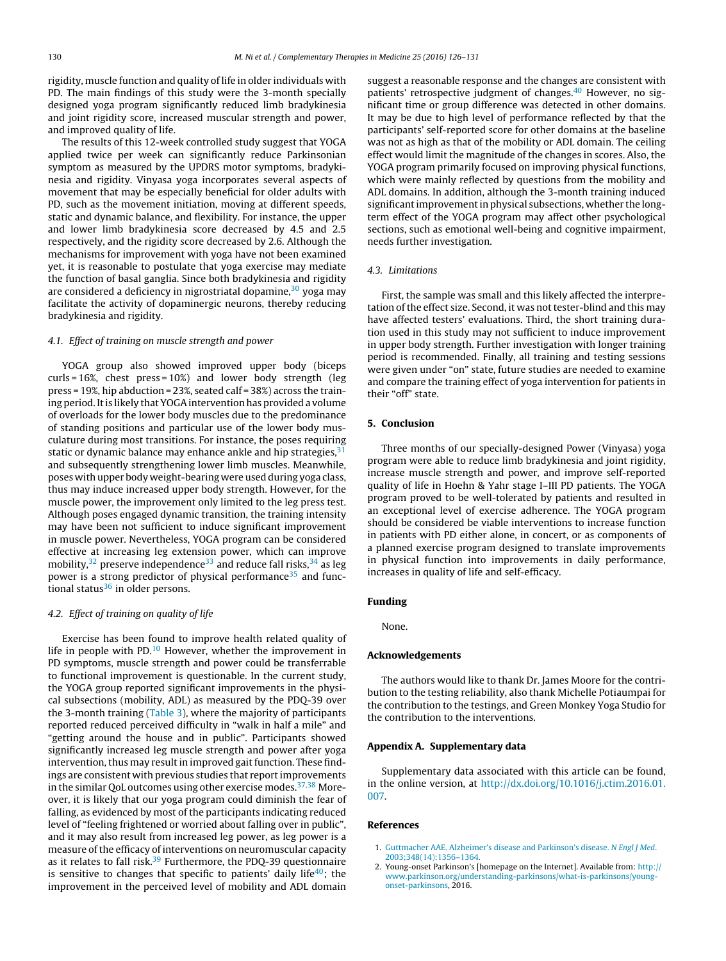<span id="page-4-0"></span>rigidity, muscle function and quality of life in older individuals with PD. The main findings of this study were the 3-month specially designed yoga program significantly reduced limb bradykinesia and joint rigidity score, increased muscular strength and power, and improved quality of life.

The results of this 12-week controlled study suggest that YOGA applied twice per week can significantly reduce Parkinsonian symptom as measured by the UPDRS motor symptoms, bradykinesia and rigidity. Vinyasa yoga incorporates several aspects of movement that may be especially beneficial for older adults with PD, such as the movement initiation, moving at different speeds, static and dynamic balance, and flexibility. For instance, the upper and lower limb bradykinesia score decreased by 4.5 and 2.5 respectively, and the rigidity score decreased by 2.6. Although the mechanisms for improvement with yoga have not been examined yet, it is reasonable to postulate that yoga exercise may mediate the function of basal ganglia. Since both bradykinesia and rigidity are considered a deficiency in nigrostriatal dopamine,  $30\ \text{yoga}$  $30\ \text{yoga}$  may facilitate the activity of dopaminergic neurons, thereby reducing bradykinesia and rigidity.

#### 4.1. Effect of training on muscle strength and power

YOGA group also showed improved upper body (biceps curls = 16%, chest press = 10%) and lower body strength (leg press = 19%, hip abduction = 23%, seated calf = 38%) across the training period. It is likely that YOGA intervention has provided a volume of overloads for the lower body muscles due to the predominance of standing positions and particular use of the lower body musculature during most transitions. For instance, the poses requiring static or dynamic balance may enhance ankle and hip strategies,  $31$ and subsequently strengthening lower limb muscles. Meanwhile, poses with upper body weight-bearing were used during yoga class, thus may induce increased upper body strength. However, for the muscle power, the improvement only limited to the leg press test. Although poses engaged dynamic transition, the training intensity may have been not sufficient to induce significant improvement in muscle power. Nevertheless, YOGA program can be considered effective at increasing leg extension power, which can improve mobility,  $32$  preserve independence  $33$  and reduce fall risks,  $34$  as leg power is a strong predictor of physical performance<sup>35</sup> and functional status $36$  in older persons.

#### 4.2. Effect of training on quality of life

Exercise has been found to improve health related quality of life in people with PD. $10$  However, whether the improvement in PD symptoms, muscle strength and power could be transferrable to functional improvement is questionable. In the current study, the YOGA group reported significant improvements in the physical subsections (mobility, ADL) as measured by the PDQ-39 over the 3-month training ([Table](#page-3-0) 3), where the majority of participants reported reduced perceived difficulty in "walk in half a mile" and "getting around the house and in public". Participants showed significantly increased leg muscle strength and power after yoga intervention, thus may result in improved gait function. These findings are consistent with previous studies that reportimprovements in the similar QoL outcomes using other exercise modes. $37,38$  Moreover, it is likely that our yoga program could diminish the fear of falling, as evidenced by most of the participants indicating reduced level of "feeling frightened or worried about falling over in public", and it may also result from increased leg power, as leg power is a measure of the efficacy of interventions on neuromuscular capacity as it relates to fall risk. $39$  Furthermore, the PDQ-39 questionnaire is sensitive to changes that specific to patients' daily life $40$ ; the improvement in the perceived level of mobility and ADL domain

suggest a reasonable response and the changes are consistent with patients' retrospective judgment of changes.<sup>40</sup> However, no significant time or group difference was detected in other domains. It may be due to high level of performance reflected by that the participants' self-reported score for other domains at the baseline was not as high as that of the mobility or ADL domain. The ceiling effect would limit the magnitude of the changes in scores. Also, the YOGA program primarily focused on improving physical functions, which were mainly reflected by questions from the mobility and ADL domains. In addition, although the 3-month training induced significant improvement in physical subsections, whether the longterm effect of the YOGA program may affect other psychological sections, such as emotional well-being and cognitive impairment, needs further investigation.

#### 4.3. Limitations

First, the sample was small and this likely affected the interpretation of the effect size. Second, it was not tester-blind and this may have affected testers' evaluations. Third, the short training duration used in this study may not sufficient to induce improvement in upper body strength. Further investigation with longer training period is recommended. Finally, all training and testing sessions were given under "on" state, future studies are needed to examine and compare the training effect of yoga intervention for patients in their "off" state.

### **5. Conclusion**

Three months of our specially-designed Power (Vinyasa) yoga program were able to reduce limb bradykinesia and joint rigidity, increase muscle strength and power, and improve self-reported quality of life in Hoehn & Yahr stage I–III PD patients. The YOGA program proved to be well-tolerated by patients and resulted in an exceptional level of exercise adherence. The YOGA program should be considered be viable interventions to increase function in patients with PD either alone, in concert, or as components of a planned exercise program designed to translate improvements in physical function into improvements in daily performance, increases in quality of life and self-efficacy.

## **Funding**

None.

#### **Acknowledgements**

The authors would like to thank Dr. James Moore for the contribution to the testing reliability, also thank Michelle Potiaumpai for the contribution to the testings, and Green Monkey Yoga Studio for the contribution to the interventions.

#### **Appendix A. Supplementary data**

Supplementary data associated with this article can be found, in the online version, at [http://dx.doi.org/10.1016/j.ctim.2016.01.](http://dx.doi.org/10.1016/j.ctim.2016.01.007) [007.](http://dx.doi.org/10.1016/j.ctim.2016.01.007)

## **References**

- 1. [Guttmacher](http://refhub.elsevier.com/S0965-2299(16)30007-3/sbref0005) [AAE.](http://refhub.elsevier.com/S0965-2299(16)30007-3/sbref0005) [Alzheimer's](http://refhub.elsevier.com/S0965-2299(16)30007-3/sbref0005) [disease](http://refhub.elsevier.com/S0965-2299(16)30007-3/sbref0005) [and](http://refhub.elsevier.com/S0965-2299(16)30007-3/sbref0005) [Parkinson's](http://refhub.elsevier.com/S0965-2299(16)30007-3/sbref0005) [disease.](http://refhub.elsevier.com/S0965-2299(16)30007-3/sbref0005) [N](http://refhub.elsevier.com/S0965-2299(16)30007-3/sbref0005) [Engl](http://refhub.elsevier.com/S0965-2299(16)30007-3/sbref0005) [J](http://refhub.elsevier.com/S0965-2299(16)30007-3/sbref0005) [Med](http://refhub.elsevier.com/S0965-2299(16)30007-3/sbref0005)[.](http://refhub.elsevier.com/S0965-2299(16)30007-3/sbref0005) [2003;348\(14\):1356–1364.](http://refhub.elsevier.com/S0965-2299(16)30007-3/sbref0005)
- 2. Young-onset Parkinson's [homepage on the Internet]. Available from: [http://](http://www.parkinson.org/understanding-parkinsons/what-is-parkinsons/young-onset-parkinsons) [www.parkinson.org/understanding-parkinsons/what-is-parkinsons/young](http://www.parkinson.org/understanding-parkinsons/what-is-parkinsons/young-onset-parkinsons)[onset-parkinsons](http://www.parkinson.org/understanding-parkinsons/what-is-parkinsons/young-onset-parkinsons), 2016.